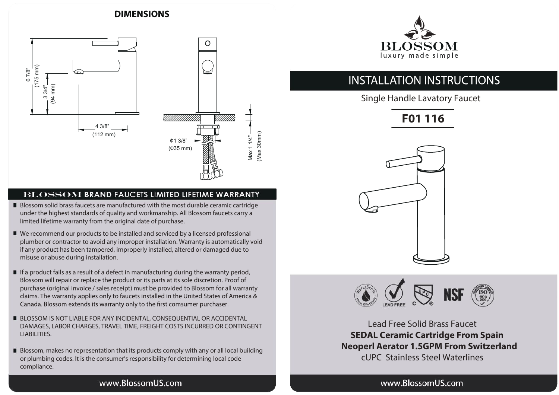# **DIMENSIONS**



#### **BLOSSOM BRAND FAUCETS LIMITED LIFETIME WARRANTY**

- Blossom solid brass faucets are manufactured with the most durable ceramic cartridge Blossom solid brass faucets are manufactured with the most durable ceramic cartridge under the highest standards of quality and workmanship. All Blossom faucets carry a under the highest standards of quality and workmanship. All Blossom faucets carry a limited lifetime warranty from the original date of purchase. limited lifetime warranty from the original date of purchase.
- We recommend our products to be installed and serviced by a licensed professional We recommend our products to be installed and serviced by a licensed professional plumber or contractor to avoid any improper installation. Warranty is automatically void plumber or contractor to avoid any improper installation. Warranty is automatically void if any product has been tampered, improperly installed, altered or damaged due to if any product has been tampered, improperly installed, altered or damaged due to misuse or abuse during installation. misuse or abuse during installation.
- If a product fails as a result of a defect in manufacturing during the warranty period, If a product fails as a result of a defect in manufacturing during the warranty period, Blossom will repair or replace the product or its parts at its sole discretion. Proof of Blossom will repair or replace the product or its parts at its sole discretion. Proof of purchase (original invoice / sales receipt) must be provided to Blossom for all warranty purchase (original invoice / sales receipt) must be provided to Blossom for all warranty claims. The warranty applies only to faucets installed in the United States of America & Canada. Blossom extends its warranty only to the first comsumer purchaser.
- BLOSSOM IS NOT LIABLE FOR ANY INCIDENTAL, CONSEQUENTIAL OR ACCIDENTAL BLOSSOM IS NOT LIABLE FOR ANY INCIDENTAL, CONSEQUENTIAL OR ACCIDENTAL DAMAGES, LABOR CHARGES, TRAVEL TIME, FREIGHT COSTS INCURRED OR CONTINGENT DAMAGES, LABOR CHARGES, TRAVEL TIME, FREIGHT COSTS INCURRED OR CONTINGENT LIABILITIES. LIABILITIES.
- Blossom, makes no representation that its products comply with any or all local building Blossom, makes no representation that its products comply with any or all local building or plumbing codes. It is the consumer's responsibility for determining local code or plumbing codes. It is the consumer's responsibility for determining local code compliance. compliance.



# **INSTALLATION INSTRUCTIONS**

Single Handle Lavatory Faucet

**F01 116**





Lead Free Solid Brass Faucet **SEDAL Ceramic Cartridge From Spain Neoperl Aerator 1.5GPM From Switzerland** cUPC Stainless Steel Waterlines

## www.BlossomUS.com

### www.BlossomUS.com